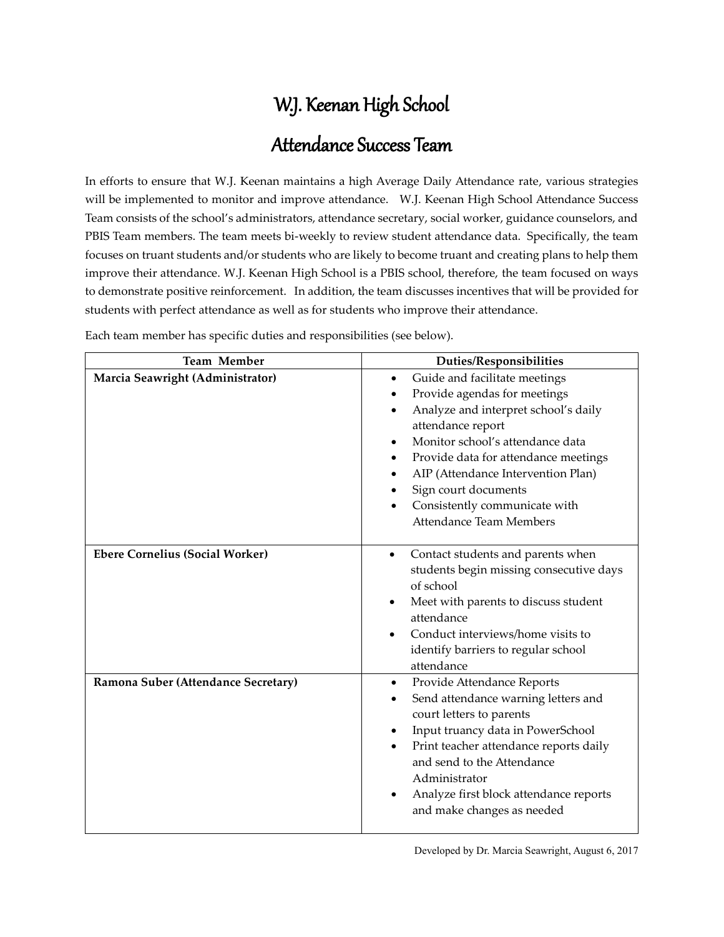# W.J. Keenan High School

## Attendance Success Team

In efforts to ensure that W.J. Keenan maintains a high Average Daily Attendance rate, various strategies will be implemented to monitor and improve attendance. W.J. Keenan High School Attendance Success Team consists of the school's administrators, attendance secretary, social worker, guidance counselors, and PBIS Team members. The team meets bi-weekly to review student attendance data. Specifically, the team focuses on truant students and/or students who are likely to become truant and creating plans to help them improve their attendance. W.J. Keenan High School is a PBIS school, therefore, the team focused on ways to demonstrate positive reinforcement. In addition, the team discusses incentives that will be provided for students with perfect attendance as well as for students who improve their attendance.

**Team Member Duties/Responsibilities Marcia Seawright (Administrator) Cuide and facilitate meetings**  Provide agendas for meetings Analyze and interpret school's daily attendance report Monitor school's attendance data Provide data for attendance meetings AIP (Attendance Intervention Plan) Sign court documents Consistently communicate with Attendance Team Members **Ebere Cornelius (Social Worker) Contact students and parents when** students begin missing consecutive days of school Meet with parents to discuss student attendance Conduct interviews/home visits to identify barriers to regular school attendance Ramona Suber (Attendance Secretary) **and Suber (Attendance Reports**  Send attendance warning letters and court letters to parents Input truancy data in PowerSchool Print teacher attendance reports daily and send to the Attendance Administrator Analyze first block attendance reports and make changes as needed

Each team member has specific duties and responsibilities (see below).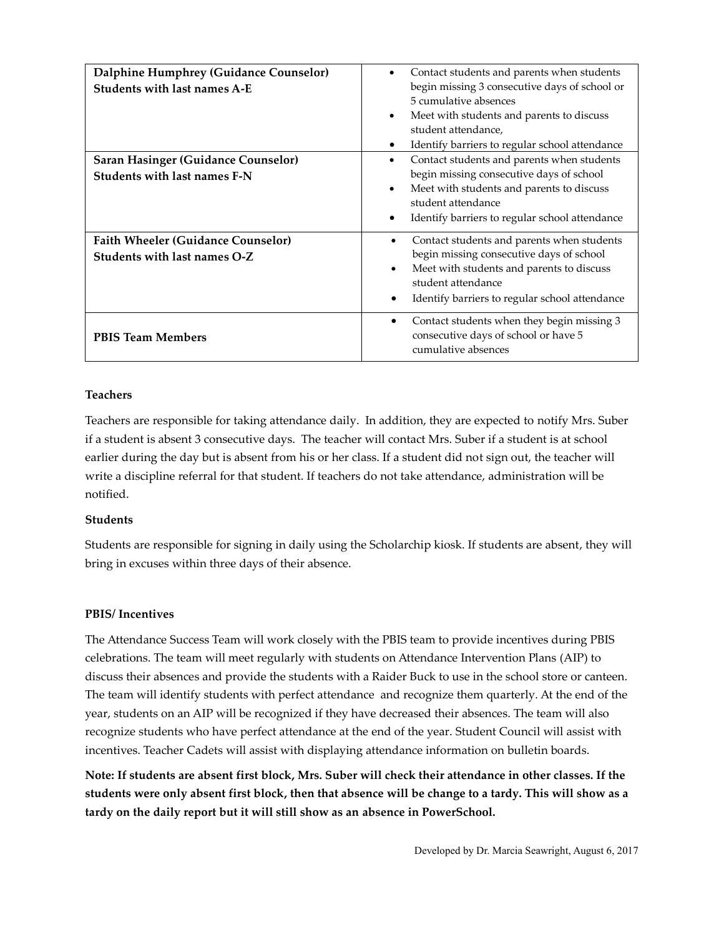| Dalphine Humphrey (Guidance Counselor)<br>Students with last names A-E    | Contact students and parents when students<br>$\bullet$<br>begin missing 3 consecutive days of school or<br>5 cumulative absences<br>Meet with students and parents to discuss<br>$\bullet$<br>student attendance,<br>Identify barriers to regular school attendance<br>٠ |
|---------------------------------------------------------------------------|---------------------------------------------------------------------------------------------------------------------------------------------------------------------------------------------------------------------------------------------------------------------------|
| Saran Hasinger (Guidance Counselor)<br>Students with last names F-N       | Contact students and parents when students<br>$\bullet$<br>begin missing consecutive days of school<br>Meet with students and parents to discuss<br>$\bullet$<br>student attendance<br>Identify barriers to regular school attendance<br>$\bullet$                        |
| <b>Faith Wheeler (Guidance Counselor)</b><br>Students with last names O-Z | Contact students and parents when students<br>begin missing consecutive days of school<br>Meet with students and parents to discuss<br>$\bullet$<br>student attendance<br>Identify barriers to regular school attendance                                                  |
| <b>PBIS Team Members</b>                                                  | Contact students when they begin missing 3<br>consecutive days of school or have 5<br>cumulative absences                                                                                                                                                                 |

#### **Teachers**

Teachers are responsible for taking attendance daily. In addition, they are expected to notify Mrs. Suber if a student is absent 3 consecutive days. The teacher will contact Mrs. Suber if a student is at school earlier during the day but is absent from his or her class. If a student did not sign out, the teacher will write a discipline referral for that student. If teachers do not take attendance, administration will be notified.

#### **Students**

Students are responsible for signing in daily using the Scholarchip kiosk. If students are absent, they will bring in excuses within three days of their absence.

#### **PBIS/ Incentives**

The Attendance Success Team will work closely with the PBIS team to provide incentives during PBIS celebrations. The team will meet regularly with students on Attendance Intervention Plans (AIP) to discuss their absences and provide the students with a Raider Buck to use in the school store or canteen. The team will identify students with perfect attendance and recognize them quarterly. At the end of the year, students on an AIP will be recognized if they have decreased their absences. The team will also recognize students who have perfect attendance at the end of the year. Student Council will assist with incentives. Teacher Cadets will assist with displaying attendance information on bulletin boards.

**Note: If students are absent first block, Mrs. Suber will check their attendance in other classes. If the students were only absent first block, then that absence will be change to a tardy. This will show as a tardy on the daily report but it will still show as an absence in PowerSchool.**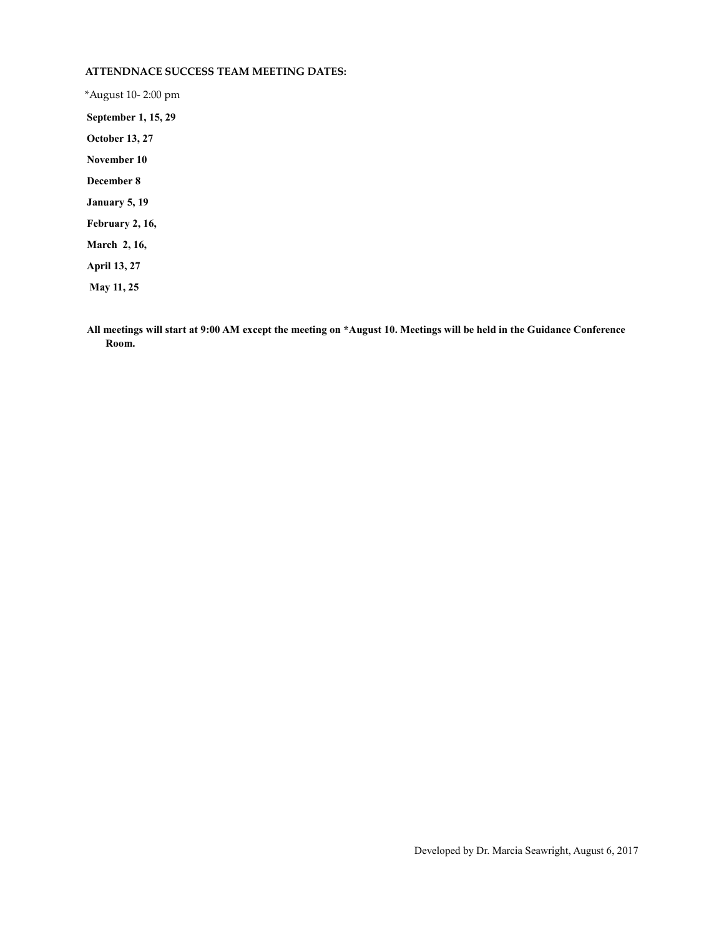#### **ATTENDNACE SUCCESS TEAM MEETING DATES:**

\*August 10- 2:00 pm **September 1, 15, 29 October 13, 27 November 10 December 8 January 5, 19 February 2, 16, March 2, 16, April 13, 27 May 11, 25** 

**All meetings will start at 9:00 AM except the meeting on \*August 10. Meetings will be held in the Guidance Conference Room.**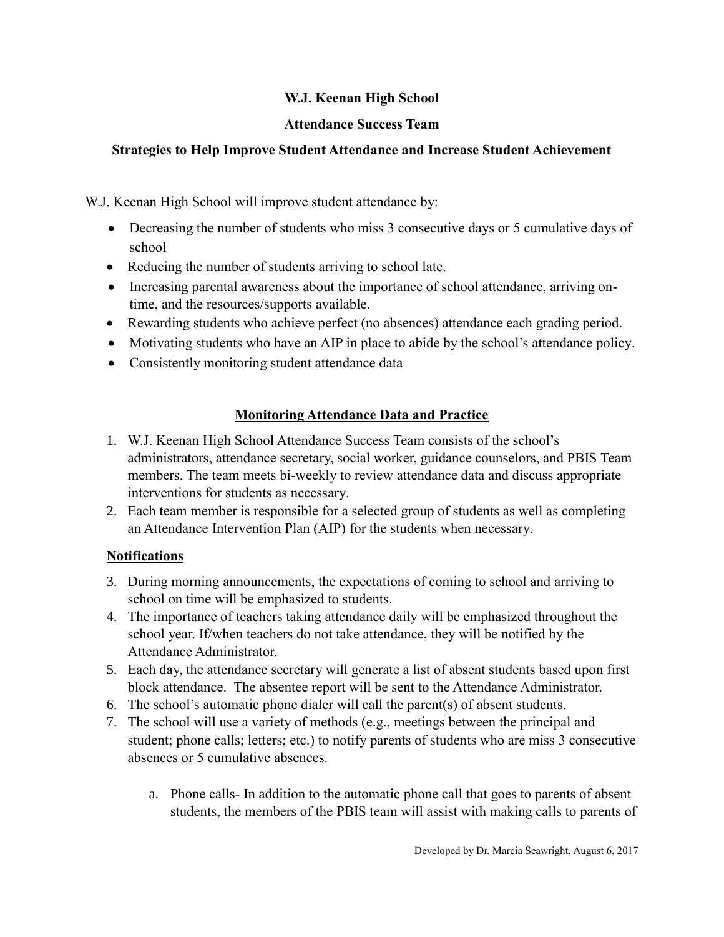## **W.J. Keenan High School**

#### **Attendance Success Team**

## **Strategies to Help Improve Student Attendance and Increase Student Achievement**

W.J. Keenan High School will improve student attendance by:

- Decreasing the number of students who miss 3 consecutive days or 5 cumulative days of school
- Reducing the number of students arriving to school late.
- Increasing parental awareness about the importance of school attendance, arriving ontime, and the resources/supports available.
- Rewarding students who achieve perfect (no absences) attendance each grading period.
- Motivating students who have an AIP in place to abide by the school's attendance policy.
- Consistently monitoring student attendance data

## **Monitoring Attendance Data and Practice**

- 1. W.J. Keenan High School Attendance Success Team consists of the school's administrators, attendance secretary, social worker, guidance counselors, and PBIS Team members. The team meets bi-weekly to review attendance data and discuss appropriate interventions for students as necessary.
- 2. Each team member is responsible for a selected group of students as well as completing an Attendance Intervention Plan (AIP) for the students when necessary.

## **Notifications**

- 3. During morning announcements, the expectations of coming to school and arriving to school on time will be emphasized to students.
- 4. The importance of teachers taking attendance daily will be emphasized throughout the school year. If/when teachers do not take attendance, they will be notified by the Attendance Administrator.
- 5. Each day, the attendance secretary will generate a list of absent students based upon first block attendance. The absentee report will be sent to the Attendance Administrator.
- 6. The school's automatic phone dialer will call the parent(s) of absent students.
- 7. The school will use a variety of methods (e.g., meetings between the principal and student; phone calls; letters; etc.) to notify parents of students who are miss 3 consecutive absences or 5 cumulative absences.
	- a. Phone calls- In addition to the automatic phone call that goes to parents of absent students, the members of the PBIS team will assist with making calls to parents of